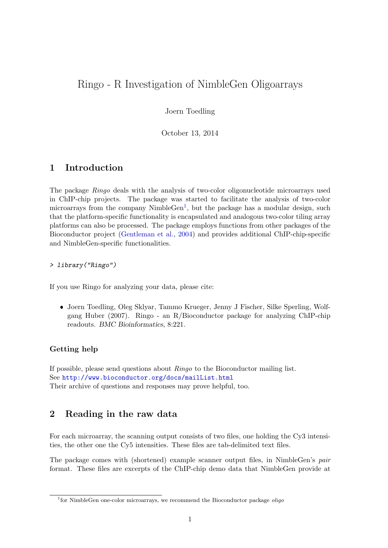# Ringo - R Investigation of NimbleGen Oligoarrays

Joern Toedling

October 13, 2014

## 1 Introduction

The package *Ringo* deals with the analysis of two-color oligonucleotide microarrays used in ChIP-chip projects. The package was started to facilitate the analysis of two-color microarrays from the company NimbleGen<sup>[1](#page-0-0)</sup>, but the package has a modular design, such that the platform-specific functionality is encapsulated and analogous two-color tiling array platforms can also be processed. The package employs functions from other packages of the Bioconductor project [\(Gentleman et al.,](#page-18-0) [2004\)](#page-18-0) and provides additional ChIP-chip-specific and NimbleGen-specific functionalities.

> library("Ringo")

If you use Ringo for analyzing your data, please cite:

 Joern Toedling, Oleg Sklyar, Tammo Krueger, Jenny J Fischer, Silke Sperling, Wolfgang Huber (2007). Ringo - an R/Bioconductor package for analyzing ChIP-chip readouts. BMC Bioinformatics, 8:221.

### Getting help

If possible, please send questions about Ringo to the Bioconductor mailing list. See <http://www.bioconductor.org/docs/mailList.html> Their archive of questions and responses may prove helpful, too.

## 2 Reading in the raw data

For each microarray, the scanning output consists of two files, one holding the Cy3 intensities, the other one the Cy5 intensities. These files are tab-delimited text files.

The package comes with (shortened) example scanner output files, in NimbleGen's pair format. These files are excerpts of the ChIP-chip demo data that NimbleGen provide at

<span id="page-0-0"></span><sup>&</sup>lt;sup>1</sup>for NimbleGen one-color microarrays, we recommend the Bioconductor package oligo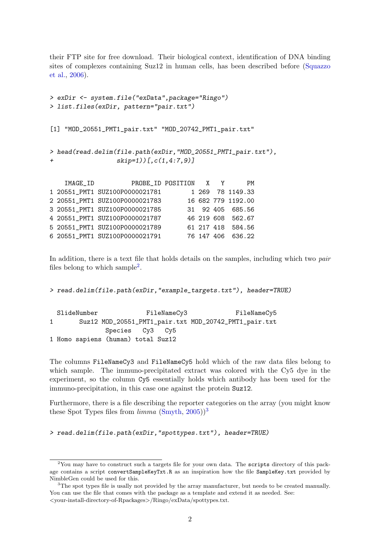their FTP site for free download. Their biological context, identification of DNA binding sites of complexes containing Suz12 in human cells, has been described before [\(Squazzo](#page-19-0) [et al.,](#page-19-0) [2006\)](#page-19-0).

```
> exDir <- system.file("exData",package="Ringo")
> list.files(exDir, pattern="pair.txt")
[1] "MOD_20551_PMT1_pair.txt" "MOD_20742_PMT1_pair.txt"
> head(read.delim(file.path(exDir,"MOD_20551_PMT1_pair.txt"),
+ skip=1))[,c(1,4:7,9)]
   IMAGE_ID PROBE_ID POSITION X Y PM
1 20551_PMT1 SUZ100P0000021781 1 269 78 1149.33
2 20551_PMT1 SUZ100P0000021783 16 682 779 1192.00
3 20551_PMT1 SUZ100P0000021785 31 92 405 685.56
4 20551_PMT1 SUZ100P0000021787 46 219 608 562.67
5 20551_PMT1 SUZ100P0000021789 61 217 418 584.56
```
6 20551\_PMT1 SUZ100P0000021791 76 147 406 636.22

In addition, there is a text file that holds details on the samples, including which two pair files belong to which sample<sup>[2](#page-1-0)</sup>.

> read.delim(file.path(exDir,"example\_targets.txt"), header=TRUE)

SlideNumber FileNameCy3 FileNameCy5 1 Suz12 MOD\_20551\_PMT1\_pair.txt MOD\_20742\_PMT1\_pair.txt Species Cy3 Cy5 1 Homo sapiens (human) total Suz12

The columns FileNameCy3 and FileNameCy5 hold which of the raw data files belong to which sample. The immuno-precipitated extract was colored with the Cy<sub>5</sub> dye in the experiment, so the column Cy5 essentially holds which antibody has been used for the immuno-precipitation, in this case one against the protein Suz12.

Furthermore, there is a file describing the reporter categories on the array (you might know these Spot Types files from  $limma$  [\(Smyth,](#page-19-1) [2005\)](#page-19-1))<sup>[3](#page-1-1)</sup>

> read.delim(file.path(exDir,"spottypes.txt"), header=TRUE)

<span id="page-1-0"></span> $2$ You may have to construct such a targets file for your own data. The scripts directory of this package contains a script convertSampleKeyTxt.R as an inspiration how the file SampleKey.txt provided by NimbleGen could be used for this.

<span id="page-1-1"></span> ${}^{3}$ The spot types file is usally not provided by the array manufacturer, but needs to be created manually. You can use the file that comes with the package as a template and extend it as needed. See: <your-install-directory-of-Rpackages>/Ringo/exData/spottypes.txt.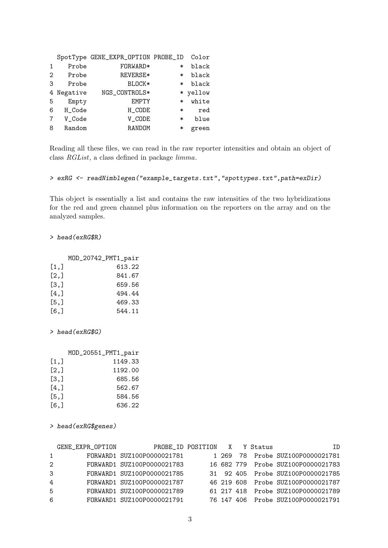|              |          | SpotType GENE_EXPR_OPTION PROBE_ID |        | Color    |
|--------------|----------|------------------------------------|--------|----------|
| $\mathbf{1}$ | Probe    | FORWARD*                           | $\ast$ | black    |
| 2            | Probe    | REVERSE*                           | ∗      | black    |
| 3            | Probe    | BLOCK*                             | $\ast$ | black    |
| 4            | Negative | NGS_CONTROLS*                      |        | * yellow |
| 5            | Empty    | <b>EMPTY</b>                       | $\ast$ | white    |
| 6            | H_Code   | H_CODE                             | $\ast$ | red      |
| 7            | V_Code   | V_CODE                             | ∗      | blue     |
| 8            | Random   | RANDOM                             | ∗      | green    |

Reading all these files, we can read in the raw reporter intensities and obtain an object of class RGList, a class defined in package limma.

```
> exRG <- readNimblegen("example_targets.txt","spottypes.txt",path=exDir)
```
This object is essentially a list and contains the raw intensities of the two hybridizations for the red and green channel plus information on the reporters on the array and on the analyzed samples.

#### > head(exRG\$R)

|         | MOD_20742_PMT1_pair |
|---------|---------------------|
| [1,]    | 613.22              |
| [2,]    | 841.67              |
| [3,]    | 659.56              |
| $[4,$ ] | 494.44              |
| [5,]    | 469.33              |
| $[6,$ ] | 544.11              |

#### > head(exRG\$G)

|         | MOD_20551_PMT1_pair |
|---------|---------------------|
| [1,]    | 1149.33             |
| [2,]    | 1192.00             |
| [3,]    | 685.56              |
| $[4,$ ] | 562.67              |
| [5,]    | 584.56              |
| $[6,$ ] | 636.22              |

> head(exRG\$genes)

|   | GENE_EXPR_OPTION |                            | PROBE_ID POSITION X Y Status |  | TD                                 |
|---|------------------|----------------------------|------------------------------|--|------------------------------------|
|   | $1 \quad \cdots$ | FORWARD1 SUZ100P0000021781 |                              |  | 1 269 78 Probe SUZ100P0000021781   |
| 2 |                  | FORWARD1 SUZ100P0000021783 |                              |  | 16 682 779 Probe SUZ100P0000021783 |
| 3 |                  | FORWARD1 SUZ100P0000021785 |                              |  | 31 92 405 Probe SUZ100P0000021785  |
| 4 |                  | FORWARD1 SUZ100P0000021787 |                              |  | 46 219 608 Probe SUZ100P0000021787 |
| 5 |                  | FORWARD1 SUZ100P0000021789 |                              |  | 61 217 418 Probe SUZ100P0000021789 |
| 6 |                  | FORWARD1 SUZ100P0000021791 |                              |  | 76 147 406 Probe SUZ100P0000021791 |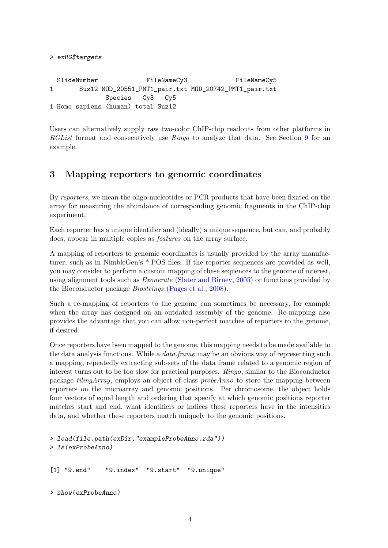```
SlideNumber FileNameCy3 FileNameCy5
1 Suz12 MOD_20551_PMT1_pair.txt MOD_20742_PMT1_pair.txt
            Species Cy3 Cy5
1 Homo sapiens (human) total Suz12
```
> exRG\$targets

Users can alternatively supply raw two-color ChIP-chip readouts from other platforms in RGList format and consecutively use Ringo to analyze that data. See Section [9](#page-12-0) for an example.

## 3 Mapping reporters to genomic coordinates

By reporters, we mean the oligo-nucleotides or PCR products that have been fixated on the array for measuring the abundance of corresponding genomic fragments in the ChIP-chip experiment.

Each reporter has a unique identifier and (ideally) a unique sequence, but can, and probably does, appear in multiple copies as features on the array surface.

A mapping of reporters to genomic coordinates is usually provided by the array manufacturer, such as in NimbleGen's \*.POS files. If the reporter sequences are provided as well, you may consider to perform a custom mapping of these sequences to the genome of interest, using alignment tools such as Exonerate [\(Slater and Birney,](#page-18-1) [2005\)](#page-18-1) or functions provided by the Bioconductor package Biostrings [\(Pages et al.,](#page-18-2) [2008\)](#page-18-2).

Such a re-mapping of reporters to the genome can sometimes be necessary, for example when the array has designed on an outdated assembly of the genome. Re-mapping also provides the advantage that you can allow non-perfect matches of reporters to the genome, if desired.

Once reporters have been mapped to the genome, this mapping needs to be made available to the data analysis functions. While a *data.frame* may be an obvious way of representing such a mapping, repeatedly extracting sub-sets of the data frame related to a genomic region of interest turns out to be too slow for practical purposes. Ringo, similar to the Bioconductor package tilingArray, employs an object of class probeAnno to store the mapping between reporters on the microarray and genomic positions. Per chromosome, the object holds four vectors of equal length and ordering that specify at which genomic positions reporter matches start and end, what identifiers or indices these reporters have in the intensities data, and whether these reporters match uniquely to the genomic positions.

```
> load(file.path(exDir,"exampleProbeAnno.rda"))
> ls(exProbeAnno)
```
[1] "9.end" "9.index" "9.start" "9.unique"

```
> show(exProbeAnno)
```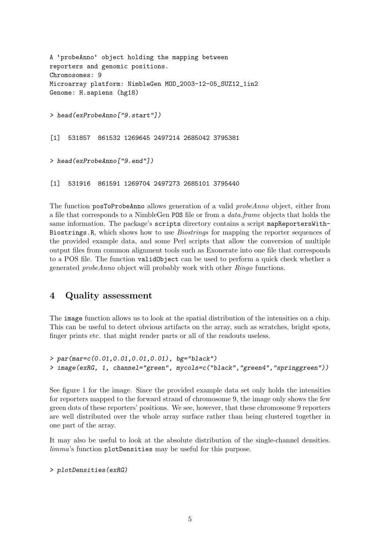```
A 'probeAnno' object holding the mapping between
reporters and genomic positions.
Chromosomes: 9
Microarray platform: NimbleGen MOD_2003-12-05_SUZ12_1in2
Genome: H.sapiens (hg18)
> head(exProbeAnno["9.start"])
[1] 531857 861532 1269645 2497214 2685042 3795381
> head(exProbeAnno["9.end"])
```
[1] 531916 861591 1269704 2497273 2685101 3795440

The function posToProbeAnno allows generation of a valid *probeAnno* object, either from a file that corresponds to a NimbleGen POS file or from a data.frame objects that holds the same information. The package's scripts directory contains a script mapReportersWith-Biostrings.R, which shows how to use Biostrings for mapping the reporter sequences of the provided example data, and some Perl scripts that allow the conversion of multiple output files from common alignment tools such as Exonerate into one file that corresponds to a POS file. The function validObject can be used to perform a quick check whether a generated probeAnno object will probably work with other Ringo functions.

### 4 Quality assessment

The image function allows us to look at the spatial distribution of the intensities on a chip. This can be useful to detect obvious artifacts on the array, such as scratches, bright spots, finger prints etc. that might render parts or all of the readouts useless.

```
> par(mar=c(0.01,0.01,0.01,0.01), bg="black")
> image(exRG, 1, channel="green", mycols=c("black","green4","springgreen"))
```
See figure [1](#page-5-0) for the image. Since the provided example data set only holds the intensities for reporters mapped to the forward strand of chromosome 9, the image only shows the few green dots of these reporters' positions. We see, however, that these chromosome 9 reporters are well distributed over the whole array surface rather than being clustered together in one part of the array.

It may also be useful to look at the absolute distribution of the single-channel densities. limma's function plotDensities may be useful for this purpose.

#### > plotDensities(exRG)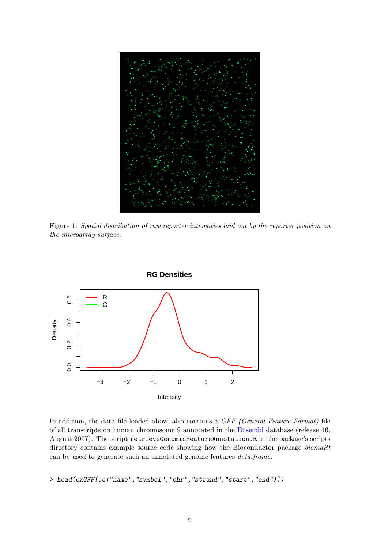

Figure 1: Spatial distribution of raw reporter intensities laid out by the reporter position on the microarray surface.

<span id="page-5-0"></span>

In addition, the data file loaded above also contains a *GFF (General Feature Format)* file of all transcripts on human chromosome 9 annotated in the [Ensembl](http://www.ensembl.org) database (release 46, August 2007). The script retrieveGenomicFeatureAnnotation.R in the package's scripts directory contains example source code showing how the Bioconductor package *biomaRt* can be used to generate such an annotated genome features data.frame.

> head(exGFF[,c("name","symbol","chr","strand","start","end")])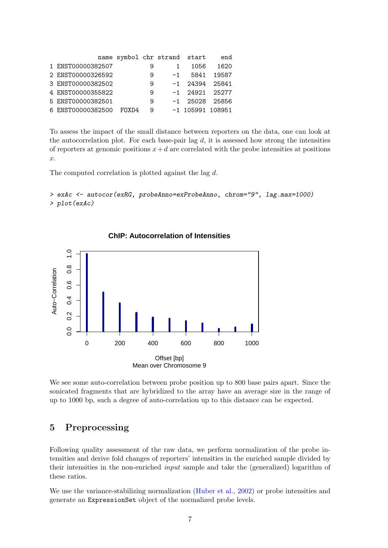|                   |       |   | name symbol chr strand start |                    | end     |
|-------------------|-------|---|------------------------------|--------------------|---------|
| 1 ENST00000382507 |       | 9 |                              | 1056               | 1620    |
| 2 ENST00000326592 |       | 9 | $-1$                         | 5841               | - 19587 |
| 3 ENST00000382502 |       | 9 |                              | $-1$ 24394 25841   |         |
| 4 ENST00000355822 |       | 9 |                              | $-1$ 24921 25277   |         |
| 5 ENST00000382501 |       | 9 |                              | $-1$ 25028 25856   |         |
| 6 ENST00000382500 | FOXD4 | 9 |                              | $-1$ 105991 108951 |         |

To assess the impact of the small distance between reporters on the data, one can look at the autocorrelation plot. For each base-pair lag  $d$ , it is assessed how strong the intensities of reporters at genomic positions  $x+d$  are correlated with the probe intensities at positions x.

The computed correlation is plotted against the lag d.

> exAc <- autocor(exRG, probeAnno=exProbeAnno, chrom="9", lag.max=1000) > plot(exAc)



#### **ChIP: Autocorrelation of Intensities**

We see some auto-correlation between probe position up to 800 base pairs apart. Since the sonicated fragments that are hybridized to the array have an average size in the range of up to 1000 bp, such a degree of auto-correlation up to this distance can be expected.

## 5 Preprocessing

Following quality assessment of the raw data, we perform normalization of the probe intensities and derive fold changes of reporters' intensities in the enriched sample divided by their intensities in the non-enriched input sample and take the (generalized) logarithm of these ratios.

We use the variance-stabilizing normalization [\(Huber et al.,](#page-18-3) [2002\)](#page-18-3) or probe intensities and generate an ExpressionSet object of the normalized probe levels.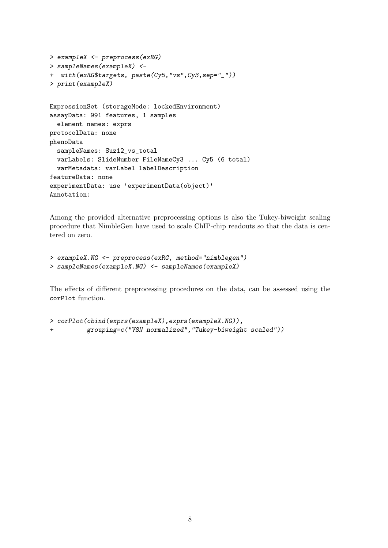```
> exampleX <- preprocess(exRG)
> sampleNames(exampleX) <-
+ with(exRG$targets, paste(Cy5,"vs",Cy3,sep="_"))
> print(exampleX)
ExpressionSet (storageMode: lockedEnvironment)
assayData: 991 features, 1 samples
  element names: exprs
protocolData: none
phenoData
  sampleNames: Suz12_vs_total
  varLabels: SlideNumber FileNameCy3 ... Cy5 (6 total)
  varMetadata: varLabel labelDescription
featureData: none
experimentData: use 'experimentData(object)'
Annotation:
```
Among the provided alternative preprocessing options is also the Tukey-biweight scaling procedure that NimbleGen have used to scale ChIP-chip readouts so that the data is centered on zero.

```
> exampleX.NG <- preprocess(exRG, method="nimblegen")
> sampleNames(exampleX.NG) <- sampleNames(exampleX)
```
The effects of different preprocessing procedures on the data, can be assessed using the corPlot function.

```
> corPlot(cbind(exprs(exampleX),exprs(exampleX.NG)),
+ grouping=c("VSN normalized","Tukey-biweight scaled"))
```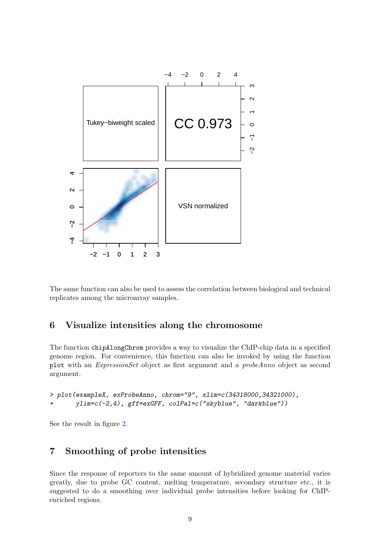

The same function can also be used to assess the correlation between biological and technical replicates among the microarray samples.

## 6 Visualize intensities along the chromosome

The function chipAlongChrom provides a way to visualize the ChIP-chip data in a specified genome region. For convenience, this function can also be invoked by using the function plot with an ExpressionSet object as first argument and a probeAnno object as second argument.

```
> plot(exampleX, exProbeAnno, chrom="9", xlim=c(34318000,34321000),
+ ylim=c(-2,4), gff=exGFF, colPal=c("skyblue", "darkblue"))
```
See the result in figure [2.](#page-9-0)

## 7 Smoothing of probe intensities

Since the response of reporters to the same amount of hybridized genome material varies greatly, due to probe GC content, melting temperature, secondary structure etc., it is suggested to do a smoothing over individual probe intensities before looking for ChIPenriched regions.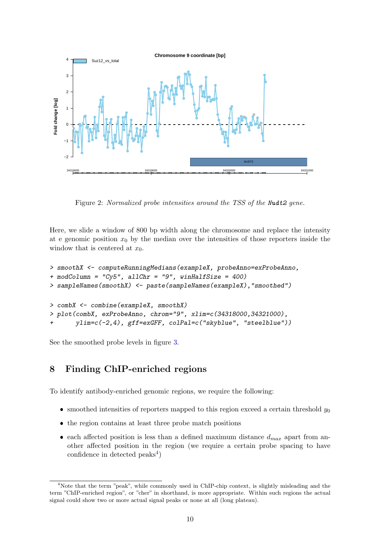

<span id="page-9-0"></span>Figure 2: Normalized probe intensities around the TSS of the Nudt2 gene.

Here, we slide a window of 800 bp width along the chromosome and replace the intensity at e genomic position  $x_0$  by the median over the intensities of those reporters inside the window that is centered at  $x_0$ .

```
> smoothX <- computeRunningMedians(exampleX, probeAnno=exProbeAnno,
+ modColumn = "Cy5", allChr = "9", winHalfSize = 400)
> sampleNames(smoothX) <- paste(sampleNames(exampleX),"smoothed")
> combX <- combine(exampleX, smoothX)
> plot(combX, exProbeAnno, chrom="9", xlim=c(34318000,34321000),
       ylim=c(-2,4), gff=exGFF, colPal=c("skyblue", "steelblue"))
```
See the smoothed probe levels in figure [3.](#page-10-0)

# <span id="page-9-2"></span>8 Finding ChIP-enriched regions

To identify antibody-enriched genomic regions, we require the following:

- smoothed intensities of reporters mapped to this region exceed a certain threshold  $y_0$
- the region contains at least three probe match positions
- each affected position is less than a defined maximum distance  $d_{max}$  apart from another affected position in the region (we require a certain probe spacing to have confidence in detected  $\text{peaks}^4$  $\text{peaks}^4$ )

<span id="page-9-1"></span><sup>4</sup>Note that the term "peak", while commonly used in ChIP-chip context, is slightly misleading and the term "ChIP-enriched region", or "cher" in shorthand, is more appropriate. Within such regions the actual signal could show two or more actual signal peaks or none at all (long plateau).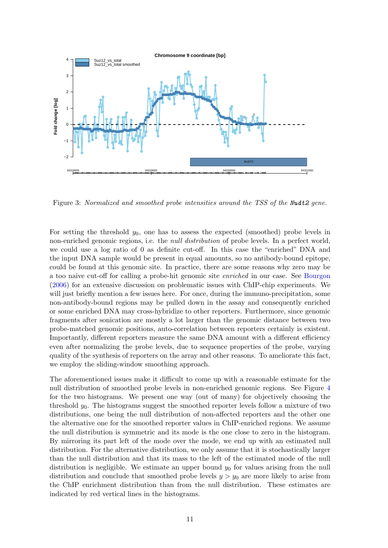

<span id="page-10-0"></span>Figure 3: Normalized and smoothed probe intensities around the TSS of the Nudt2 gene.

For setting the threshold  $y_0$ , one has to assess the expected (smoothed) probe levels in non-enriched genomic regions, i.e. the *null distribution* of probe levels. In a perfect world, we could use a log ratio of 0 as definite cut-off. In this case the "enriched" DNA and the input DNA sample would be present in equal amounts, so no antibody-bound epitope, could be found at this genomic site. In practice, there are some reasons why zero may be a too naive cut-off for calling a probe-hit genomic site enriched in our case. See [Bourgon](#page-18-4) [\(2006\)](#page-18-4) for an extensive discussion on problematic issues with ChIP-chip experiments. We will just briefly mention a few issues here. For once, during the immuno-precipitation, some non-antibody-bound regions may be pulled down in the assay and consequently enriched or some enriched DNA may cross-hybridize to other reporters. Furthermore, since genomic fragments after sonication are mostly a lot larger than the genomic distance between two probe-matched genomic positions, auto-correlation between reporters certainly is existent. Importantly, different reporters measure the same DNA amount with a different efficiency even after normalizing the probe levels, due to sequence properties of the probe, varying quality of the synthesis of reporters on the array and other reasons. To ameliorate this fact, we employ the sliding-window smoothing approach.

The aforementioned issues make it difficult to come up with a reasonable estimate for the null distribution of smoothed probe levels in non-enriched genomic regions. See Figure [4](#page-11-0) for the two histograms. We present one way (out of many) for objectively choosing the threshold  $y_0$ . The histograms suggest the smoothed reporter levels follow a mixture of two distributions, one being the null distribution of non-affected reporters and the other one the alternative one for the smoothed reporter values in ChIP-enriched regions. We assume the null distribution is symmetric and its mode is the one close to zero in the histogram. By mirroring its part left of the mode over the mode, we end up with an estimated null distribution. For the alternative distribution, we only assume that it is stochastically larger than the null distribution and that its mass to the left of the estimated mode of the null distribution is negligible. We estimate an upper bound  $y_0$  for values arising from the null distribution and conclude that smoothed probe levels  $y > y_0$  are more likely to arise from the ChIP enrichment distribution than from the null distribution. These estimates are indicated by red vertical lines in the histograms.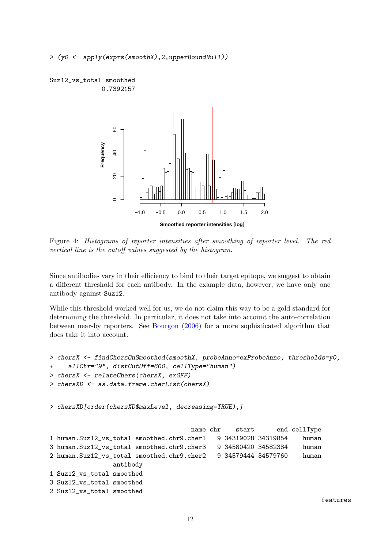> (y0 <- apply(exprs(smoothX),2,upperBoundNull))





<span id="page-11-0"></span>Figure 4: Histograms of reporter intensities after smoothing of reporter level. The red vertical line is the cutoff values suggested by the histogram.

Since antibodies vary in their efficiency to bind to their target epitope, we suggest to obtain a different threshold for each antibody. In the example data, however, we have only one antibody against Suz12.

While this threshold worked well for us, we do not claim this way to be a gold standard for determining the threshold. In particular, it does not take into account the auto-correlation between near-by reporters. See [Bourgon](#page-18-4) [\(2006\)](#page-18-4) for a more sophisticated algorithm that does take it into account.

```
> chersX <- findChersOnSmoothed(smoothX, probeAnno=exProbeAnno, thresholds=y0,
+ allChr="9", distCutOff=600, cellType="human")
> chersX <- relateChers(chersX, exGFF)
> chersXD <- as.data.frame.cherList(chersX)
> chersXD[order(chersXD$maxLevel, decreasing=TRUE),]
                                    name chr start end cellType
1 human.Suz12_vs_total smoothed.chr9.cher1 9 34319028 34319854 human
3 human.Suz12_vs_total smoothed.chr9.cher3 9 34580420 34582384 human
2 human.Suz12_vs_total smoothed.chr9.cher2 9 34579444 34579760 human
                antibody
1 Suz12_vs_total smoothed
3 Suz12_vs_total smoothed
2 Suz12_vs_total smoothed
```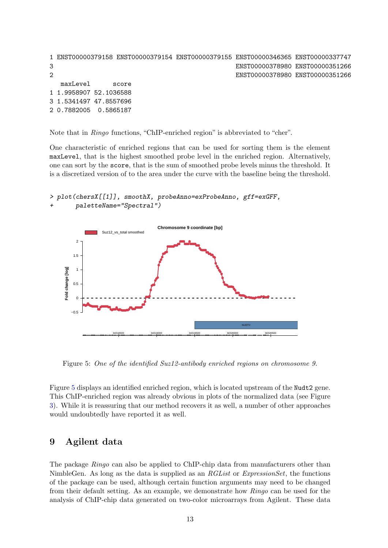```
1 ENST00000379158 ENST00000379154 ENST00000379155 ENST00000346365 ENST00000337747
3 ENST00000378980 ENST00000351266
2 ENST00000378980 ENST00000351266
  maxLevel score
1 1.9958907 52.1036588
3 1.5341497 47.8557696
2 0.7882005 0.5865187
```
Note that in Ringo functions, "ChIP-enriched region" is abbreviated to "cher".

One characteristic of enriched regions that can be used for sorting them is the element maxLevel, that is the highest smoothed probe level in the enriched region. Alternatively, one can sort by the score, that is the sum of smoothed probe levels minus the threshold. It is a discretized version of to the area under the curve with the baseline being the threshold.

```
> plot(chersX[[1]], smoothX, probeAnno=exProbeAnno, gff=exGFF,
       paletteName="Spectral")
```


<span id="page-12-1"></span>Figure 5: One of the identified Suz12-antibody enriched regions on chromosome 9.

Figure [5](#page-12-1) displays an identified enriched region, which is located upstream of the Nudt2 gene. This ChIP-enriched region was already obvious in plots of the normalized data (see Figure [3\)](#page-10-0). While it is reassuring that our method recovers it as well, a number of other approaches would undoubtedly have reported it as well.

### <span id="page-12-0"></span>9 Agilent data

The package *Ringo* can also be applied to ChIP-chip data from manufacturers other than NimbleGen. As long as the data is supplied as an RGList or ExpressionSet, the functions of the package can be used, although certain function arguments may need to be changed from their default setting. As an example, we demonstrate how Ringo can be used for the analysis of ChIP-chip data generated on two-color microarrays from Agilent. These data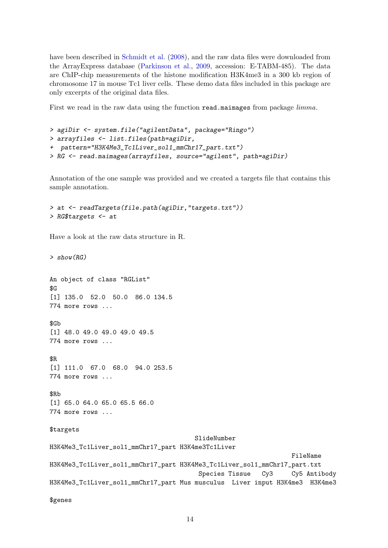have been described in [Schmidt et al.](#page-18-5) [\(2008\)](#page-18-5), and the raw data files were downloaded from the ArrayExpress database [\(Parkinson et al.,](#page-18-6) [2009,](#page-18-6) accession: E-TABM-485). The data are ChIP-chip measurements of the histone modification H3K4me3 in a 300 kb region of chromosome 17 in mouse Tc1 liver cells. These demo data files included in this package are only excerpts of the original data files.

First we read in the raw data using the function read.maimages from package  $limma$ .

```
> agiDir <- system.file("agilentData", package="Ringo")
> arrayfiles <- list.files(path=agiDir,
+ pattern="H3K4Me3_Tc1Liver_sol1_mmChr17_part.txt")
> RG <- read.maimages(arrayfiles, source="agilent", path=agiDir)
```
Annotation of the one sample was provided and we created a targets file that contains this sample annotation.

```
> at <- readTargets(file.path(agiDir,"targets.txt"))
> RG$targets <- at
```
Have a look at the raw data structure in R.

```
> show(RG)
An object of class "RGList"
R<sub>G</sub>[1] 135.0 52.0 50.0 86.0 134.5
774 more rows ...
$Gb
[1] 48.0 49.0 49.0 49.0 49.5
774 more rows ...
$R
[1] 111.0 67.0 68.0 94.0 253.5
774 more rows ...
$Rb
[1] 65.0 64.0 65.0 65.5 66.0
774 more rows ...
$targets
                                       SlideNumber
H3K4Me3_Tc1Liver_sol1_mmChr17_part H3K4me3Tc1Liver
                                                                  FileName
H3K4Me3_Tc1Liver_sol1_mmChr17_part H3K4Me3_Tc1Liver_sol1_mmChr17_part.txt
                                        Species Tissue Cy3 Cy5 Antibody
H3K4Me3_Tc1Liver_sol1_mmChr17_part Mus musculus Liver input H3K4me3 H3K4me3
$genes
```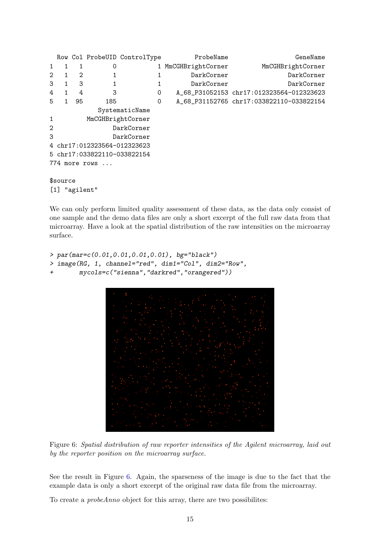```
Row Col ProbeUID ControlType ProbeName Probene GeneName
1 1 1 0 1 MmCGHBrightCorner MmCGHBrightCorner
2 1 2 1 1 DarkCorner DarkCorner
3 1 3 1 1 DarkCorner DarkCorner
4 1 4 3 0 A_68_P31052153 chr17:012323564-012323623
5 1 95 185 0 A_68_P31152765 chr17:033822110-033822154
        SystematicName
1 MmCGHBrightCorner
2 DarkCorner
3 DarkCorner
4 chr17:012323564-012323623
5 chr17:033822110-033822154
774 more rows ...
$source
[1] "agilent"
```
We can only perform limited quality assessment of these data, as the data only consist of one sample and the demo data files are only a short excerpt of the full raw data from that microarray. Have a look at the spatial distribution of the raw intensities on the microarray surface.

```
> par(mar=c(0.01,0.01,0.01,0.01), bg="black")
> image(RG, 1, channel="red", dim1="Col", dim2="Row",
+ mycols=c("sienna","darkred","orangered"))
```


Figure 6: Spatial distribution of raw reporter intensities of the Agilent microarray, laid out by the reporter position on the microarray surface.

<span id="page-14-0"></span>See the result in Figure [6.](#page-14-0) Again, the sparseness of the image is due to the fact that the example data is only a short excerpt of the original raw data file from the microarray.

To create a probeAnno object for this array, there are two possibilites: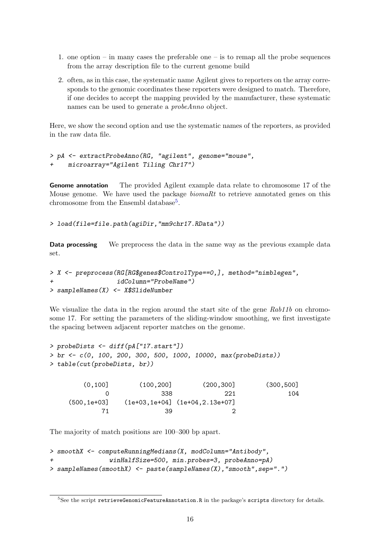- 1. one option in many cases the preferable one is to remap all the probe sequences from the array description file to the current genome build
- 2. often, as in this case, the systematic name Agilent gives to reporters on the array corresponds to the genomic coordinates these reporters were designed to match. Therefore, if one decides to accept the mapping provided by the manufacturer, these systematic names can be used to generate a probeAnno object.

Here, we show the second option and use the systematic names of the reporters, as provided in the raw data file.

```
> pA <- extractProbeAnno(RG, "agilent", genome="mouse",
+ microarray="Agilent Tiling Chr17")
```
Genome annotation The provided Agilent example data relate to chromosome 17 of the Mouse genome. We have used the package  $biomaRt$  to retrieve annotated genes on this chromosome from the Ensembl database<sup>[5](#page-15-0)</sup>.

```
> load(file=file.path(agiDir,"mm9chr17.RData"))
```
Data processing We preprocess the data in the same way as the previous example data set.

```
> X <- preprocess(RG[RG$genes$ControlType==0,], method="nimblegen",
                  idColumn="ProbeName")
> sampleNames(X) <- X$SlideNumber
```
We visualize the data in the region around the start site of the gene Rab11b on chromosome 17. For setting the parameters of the sliding-window smoothing, we first investigate the spacing between adjacent reporter matches on the genome.

```
> probeDists <- diff(pA["17.start"])
> br <- c(0, 100, 200, 300, 500, 1000, 10000, max(probeDists))
> table(cut(probeDists, br))
```

| (0.100]        | (100, 200] | (200, 300]                           | (300, 500] |
|----------------|------------|--------------------------------------|------------|
|                | -338       | -221                                 | 104        |
| $(500, 1e+03]$ |            | $(1e+03, 1e+04]$ $(1e+04, 2.13e+07]$ |            |
|                | -39        |                                      |            |

The majority of match positions are 100–300 bp apart.

```
> smoothX <- computeRunningMedians(X, modColumn="Antibody",
                winHalfSize=500, min.probes=3, probeAnno=pA)
> sampleNames(smoothX) <- paste(sampleNames(X),"smooth",sep=".")
```
<span id="page-15-0"></span><sup>&</sup>lt;sup>5</sup>See the script retrieveGenomicFeatureAnnotation.R in the package's scripts directory for details.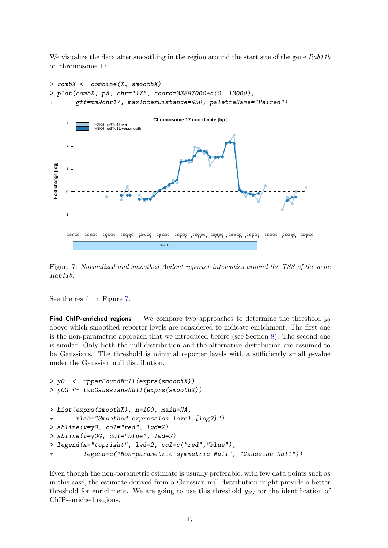We visualize the data after smoothing in the region around the start site of the gene Rab11b on chromosome 17.

```
> combX <- combine(X, smoothX)
  > plot(combX, pA, chr="17", coord=33887000+c(0, 13000),
            + gff=mm9chr17, maxInterDistance=450, paletteName="Paired")
                                                Chromosome 17 coordinate [bp]
        3
                     H3K4me3Tc1Liver
H3K4me3Tc1Liver.smooth
                                                                                     ●
                                                                                  ● ●
                                                                          9
       \overline{2}\blacktriangleright●● ●●
                                                                         ●
                                                                      ●
                                                                       U
                                                                   ●
                                                                             ●● ●
                                                            ● ●●●
                                                            ● ●●●
 Fold change [log]
  Fold change [log]
                                                                          ●
       1
                                                         ●
                                                           ●
                                                       ● ●
                                                           ●
                                                                                                    ●
                                   ●
                                                   ● ● ●
                                                     ●
                                                                                                                       ●
                                                                                        ●
       \Omega●● ● ●● ●
                                                                                         ●
                                                                                                                  ●
                                                                                             ●●
                                                ●
                                     ● ●
                                 ● ●●
                                                ●
                          ●
                                                                                           ●
                                                                                                              ●
                                                                                                                 ● ●
                                         ● ●●●
                                           ●●●
                                 ●
                                                                                                              ●
                                                                                                 ●
                                                                                                                 ●
                                                                                                            ●
      −1
        33887000 33888000 33889000 33890000 33891000 33892000 33893000 33894000 33895000 33896000 33897000 33898000 33899000 33900000
                                                   Rab11b
```
<span id="page-16-0"></span>Figure 7: Normalized and smoothed Agilent reporter intensities around the TSS of the gene Rap11b.

See the result in Figure [7.](#page-16-0)

**Find ChIP-enriched regions** We compare two approaches to determine the threshold  $y_0$ above which smoothed reporter levels are considered to indicate enrichment. The first one is the non-parametric approach that we introduced before (see Section [8\)](#page-9-2). The second one is similar. Only both the null distribution and the alternative distribution are assumed to be Gaussians. The threshold is minimal reporter levels with a sufficiently small  $p$ -value under the Gaussian null distribution.

```
> y0 <- upperBoundNull(exprs(smoothX))
> y0G <- twoGaussiansNull(exprs(smoothX))
> hist(exprs(smoothX), n=100, main=NA,
+ xlab="Smoothed expression level [log2]")
> abline(v=y0, col="red", lwd=2)
> abline(v=y0G, col="blue", lwd=2)
> legend(x="topright", lwd=2, col=c("red","blue"),
+ legend=c("Non-parametric symmetric Null", "Gaussian Null"))
```
Even though the non-parametric estimate is usually preferable, with few data points such as in this case, the estimate derived from a Gaussian null distribution might provide a better threshold for enrichment. We are going to use this threshold  $y_{0G}$  for the identification of ChIP-enriched regions.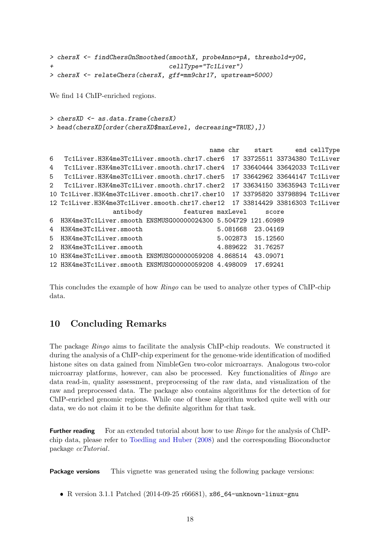```
> chersX <- findChersOnSmoothed(smoothX, probeAnno=pA, threshold=y0G,
+ cellType="Tc1Liver")
> chersX <- relateChers(chersX, gff=mm9chr17, upstream=5000)
```
We find 14 ChIP-enriched regions.

```
\geq chersXD \leq as.data.frame(chersX)
> head(chersXD[order(chersXD$maxLevel, decreasing=TRUE),])
```

```
name chr start end cellType
6 Tc1Liver.H3K4me3Tc1Liver.smooth.chr17.cher6 17 33725511 33734380 Tc1Liver
4 Tc1Liver.H3K4me3Tc1Liver.smooth.chr17.cher4 17 33640444 33642033 Tc1Liver
5 Tc1Liver.H3K4me3Tc1Liver.smooth.chr17.cher5 17 33642962 33644147 Tc1Liver
2 Tc1Liver.H3K4me3Tc1Liver.smooth.chr17.cher2 17 33634150 33635943 Tc1Liver
10 Tc1Liver.H3K4me3Tc1Liver.smooth.chr17.cher10 17 33795820 33798894 Tc1Liver
12 Tc1Liver.H3K4me3Tc1Liver.smooth.chr17.cher12 17 33814429 33816303 Tc1Liver
               antibody features maxLevel score
6 H3K4me3Tc1Liver.smooth ENSMUSG00000024300 5.504729 121.60989
4 H3K4me3Tc1Liver.smooth 5.081668 23.04169
5 H3K4me3Tc1Liver.smooth 5.002873 15.12560
2 H3K4me3Tc1Liver.smooth 4.889622 31.76257
10 H3K4me3Tc1Liver.smooth ENSMUSG00000059208 4.868514 43.09071
12 H3K4me3Tc1Liver.smooth ENSMUSG00000059208 4.498009 17.69241
```
This concludes the example of how Ringo can be used to analyze other types of ChIP-chip data.

## 10 Concluding Remarks

The package Ringo aims to facilitate the analysis ChIP-chip readouts. We constructed it during the analysis of a ChIP-chip experiment for the genome-wide identification of modified histone sites on data gained from NimbleGen two-color microarrays. Analogous two-color microarray platforms, however, can also be processed. Key functionalities of Ringo are data read-in, quality assessment, preprocessing of the raw data, and visualization of the raw and preprocessed data. The package also contains algorithms for the detection of for ChIP-enriched genomic regions. While one of these algorithm worked quite well with our data, we do not claim it to be the definite algorithm for that task.

**Further reading** For an extended tutorial about how to use  $Ringo$  for the analysis of ChIPchip data, please refer to [Toedling and Huber](#page-19-2) [\(2008\)](#page-19-2) and the corresponding Bioconductor package ccTutorial.

**Package versions** This vignette was generated using the following package versions:

R version 3.1.1 Patched (2014-09-25 r66681), x86\_64-unknown-linux-gnu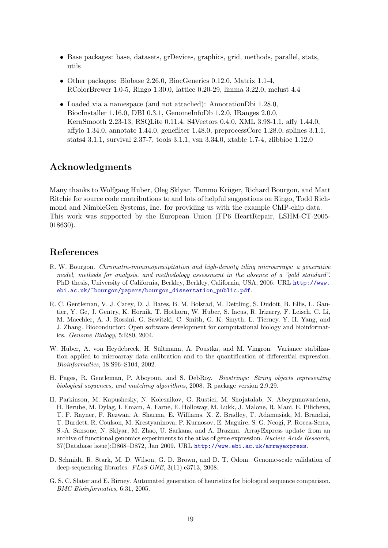- Base packages: base, datasets, grDevices, graphics, grid, methods, parallel, stats, utils
- Other packages: Biobase 2.26.0, BiocGenerics 0.12.0, Matrix 1.1-4, RColorBrewer 1.0-5, Ringo 1.30.0, lattice 0.20-29, limma 3.22.0, mclust 4.4
- Loaded via a namespace (and not attached): AnnotationDbi 1.28.0, BiocInstaller 1.16.0, DBI 0.3.1, GenomeInfoDb 1.2.0, IRanges 2.0.0, KernSmooth 2.23-13, RSQLite 0.11.4, S4Vectors 0.4.0, XML 3.98-1.1, affy 1.44.0, affyio 1.34.0, annotate 1.44.0, genefilter 1.48.0, preprocessCore 1.28.0, splines 3.1.1, stats4 3.1.1, survival 2.37-7, tools 3.1.1, vsn 3.34.0, xtable 1.7-4, zlibbioc 1.12.0

## Acknowledgments

Many thanks to Wolfgang Huber, Oleg Sklyar, Tammo Krüger, Richard Bourgon, and Matt Ritchie for source code contributions to and lots of helpful suggestions on Ringo, Todd Richmond and NimbleGen Systems, Inc. for providing us with the example ChIP-chip data. This work was supported by the European Union (FP6 HeartRepair, LSHM-CT-2005- 018630).

## References

- <span id="page-18-4"></span>R. W. Bourgon. Chromatin-immunoprecipitation and high-density tiling microarrays: a generative model, methods for analysis, and methodology assessment in the absence of a "gold standard". PhD thesis, University of California, Berkley, Berkley, California, USA, 2006. URL [http://www.](http://www.ebi.ac.uk/~bourgon/papers/bourgon_dissertation_public.pdf) [ebi.ac.uk/~bourgon/papers/bourgon\\_dissertation\\_public.pdf](http://www.ebi.ac.uk/~bourgon/papers/bourgon_dissertation_public.pdf).
- <span id="page-18-0"></span>R. C. Gentleman, V. J. Carey, D. J. Bates, B. M. Bolstad, M. Dettling, S. Dudoit, B. Ellis, L. Gautier, Y. Ge, J. Gentry, K. Hornik, T. Hothorn, W. Huber, S. Iacus, R. Irizarry, F. Leisch, C. Li, M. Maechler, A. J. Rossini, G. Sawitzki, C. Smith, G. K. Smyth, L. Tierney, Y. H. Yang, and J. Zhang. Bioconductor: Open software development for computational biology and bioinformatics. Genome Biology, 5:R80, 2004.
- <span id="page-18-3"></span>W. Huber, A. von Heydebreck, H. Sültmann, A. Poustka, and M. Vingron. Variance stabilization applied to microarray data calibration and to the quantification of differential expression. Bioinformatics, 18:S96–S104, 2002.
- <span id="page-18-2"></span>H. Pages, R. Gentleman, P. Aboyoun, and S. DebRoy. Biostrings: String objects representing biological sequences, and matching algorithms, 2008. R package version 2.9.29.
- <span id="page-18-6"></span>H. Parkinson, M. Kapushesky, N. Kolesnikov, G. Rustici, M. Shojatalab, N. Abeygunawardena, H. Berube, M. Dylag, I. Emam, A. Farne, E. Holloway, M. Lukk, J. Malone, R. Mani, E. Pilicheva, T. F. Rayner, F. Rezwan, A. Sharma, E. Williams, X. Z. Bradley, T. Adamusiak, M. Brandizi, T. Burdett, R. Coulson, M. Krestyaninova, P. Kurnosov, E. Maguire, S. G. Neogi, P. Rocca-Serra, S.-A. Sansone, N. Sklyar, M. Zhao, U. Sarkans, and A. Brazma. ArrayExpress update–from an archive of functional genomics experiments to the atlas of gene expression. Nucleic Acids Research, 37(Database issue):D868–D872, Jan 2009. URL <http://www.ebi.ac.uk/arrayexpress>.
- <span id="page-18-5"></span>D. Schmidt, R. Stark, M. D. Wilson, G. D. Brown, and D. T. Odom. Genome-scale validation of deep-sequencing libraries. PLoS ONE, 3(11):e3713, 2008.
- <span id="page-18-1"></span>G. S. C. Slater and E. Birney. Automated generation of heuristics for biological sequence comparison. BMC Bioinformatics, 6:31, 2005.